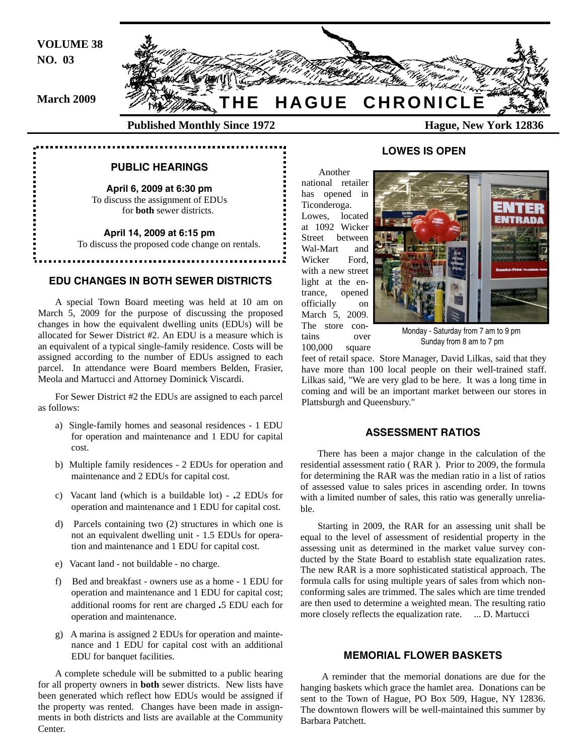**VOLUME 38 NO. 03** 

**March 2009**



# **PUBLIC HEARINGS**

**April 6, 2009 at 6:30 pm**  To discuss the assignment of EDUs for **both** sewer districts.

**April 14, 2009 at 6:15 pm** 

To discuss the proposed code change on rentals.

### **EDU CHANGES IN BOTH SEWER DISTRICTS**

A special Town Board meeting was held at 10 am on March 5, 2009 for the purpose of discussing the proposed changes in how the equivalent dwelling units (EDUs) will be allocated for Sewer District #2. An EDU is a measure which is an equivalent of a typical single-family residence. Costs will be assigned according to the number of EDUs assigned to each parcel. In attendance were Board members Belden, Frasier, Meola and Martucci and Attorney Dominick Viscardi.

For Sewer District #2 the EDUs are assigned to each parcel as follows:

- a) Single-family homes and seasonal residences 1 EDU for operation and maintenance and 1 EDU for capital cost.
- b) Multiple family residences 2 EDUs for operation and maintenance and 2 EDUs for capital cost.
- c) Vacant land (which is a buildable lot) **.**2 EDUs for operation and maintenance and 1 EDU for capital cost.
- d) Parcels containing two (2) structures in which one is not an equivalent dwelling unit - 1.5 EDUs for operation and maintenance and 1 EDU for capital cost.
- e) Vacant land not buildable no charge.
- f) Bed and breakfast owners use as a home 1 EDU for operation and maintenance and 1 EDU for capital cost; additional rooms for rent are charged **.**5 EDU each for operation and maintenance.
- g) A marina is assigned 2 EDUs for operation and maintenance and 1 EDU for capital cost with an additional EDU for banquet facilities.

A complete schedule will be submitted to a public hearing for all property owners in **both** sewer districts. New lists have been generated which reflect how EDUs would be assigned if the property was rented. Changes have been made in assignments in both districts and lists are available at the Community Center.

# **LOWES IS OPEN**

Another national retailer has opened in Ticonderoga. Lowes, located at 1092 Wicker Street between Wal-Mart and Wicker Ford, with a new street light at the entrance, opened officially on March 5, 2009. The store contains over 100,000 square



Monday - Saturday from 7 am to 9 pm Sunday from 8 am to 7 pm

feet of retail space. Store Manager, David Lilkas, said that they have more than 100 local people on their well-trained staff. Lilkas said, "We are very glad to be here. It was a long time in coming and will be an important market between our stores in Plattsburgh and Queensbury."

#### **ASSESSMENT RATIOS**

There has been a major change in the calculation of the residential assessment ratio ( RAR ). Prior to 2009, the formula for determining the RAR was the median ratio in a list of ratios of assessed value to sales prices in ascending order. In towns with a limited number of sales, this ratio was generally unreliable.

Starting in 2009, the RAR for an assessing unit shall be equal to the level of assessment of residential property in the assessing unit as determined in the market value survey conducted by the State Board to establish state equalization rates. The new RAR is a more sophisticated statistical approach. The formula calls for using multiple years of sales from which nonconforming sales are trimmed. The sales which are time trended are then used to determine a weighted mean. The resulting ratio more closely reflects the equalization rate. ... D. Martucci

# **MEMORIAL FLOWER BASKETS**

 A reminder that the memorial donations are due for the hanging baskets which grace the hamlet area. Donations can be sent to the Town of Hague, PO Box 509, Hague, NY 12836. The downtown flowers will be well-maintained this summer by Barbara Patchett.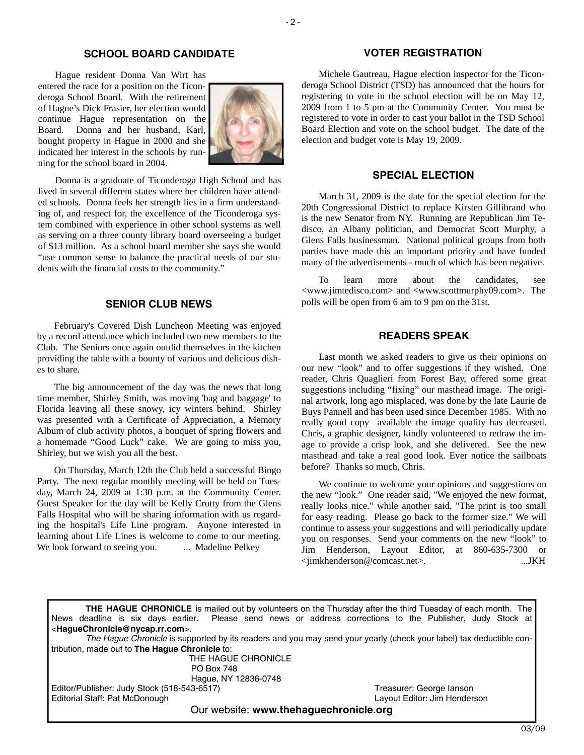# **SCHOOL BOARD CANDIDATE**

Hague resident Donna Van Wirt has entered the race for a position on the Ticonderoga School Board. With the retirement of Hague's Dick Frasier, her election would continue Hague representation on the Board. Donna and her husband, Karl, bought property in Hague in 2000 and she indicated her interest in the schools by running for the school board in 2004.



Donna is a graduate of Ticonderoga High School and has lived in several different states where her children have attended schools. Donna feels her strength lies in a firm understanding of, and respect for, the excellence of the Ticonderoga system combined with experience in other school systems as well as serving on a three county library board overseeing a budget of \$13 million. As a school board member she says she would "use common sense to balance the practical needs of our students with the financial costs to the community."

# **SENIOR CLUB NEWS**

February's Covered Dish Luncheon Meeting was enjoyed by a record attendance which included two new members to the Club. The Seniors once again outdid themselves in the kitchen providing the table with a bounty of various and delicious dishes to share.

The big announcement of the day was the news that long time member, Shirley Smith, was moving 'bag and baggage' to Florida leaving all these snowy, icy winters behind. Shirley was presented with a Certificate of Appreciation, a Memory Album of club activity photos, a bouquet of spring flowers and a homemade "Good Luck" cake. We are going to miss you, Shirley, but we wish you all the best.

On Thursday, March 12th the Club held a successful Bingo Party. The next regular monthly meeting will be held on Tuesday, March 24, 2009 at 1:30 p.m. at the Community Center. Guest Speaker for the day will be Kelly Crotty from the Glens Falls Hospital who will be sharing information with us regarding the hospital's Life Line program. Anyone interested in learning about Life Lines is welcome to come to our meeting. We look forward to seeing you. ... Madeline Pelkey

# **VOTER REGISTRATION**

Michele Gautreau, Hague election inspector for the Ticonderoga School District (TSD) has announced that the hours for registering to vote in the school election will be on May 12, 2009 from 1 to 5 pm at the Community Center. You must be registered to vote in order to cast your ballot in the TSD School Board Election and vote on the school budget. The date of the election and budget vote is May 19, 2009.

# **SPECIAL ELECTION**

March 31, 2009 is the date for the special election for the 20th Congressional District to replace Kirsten Gillibrand who is the new Senator from NY. Running are Republican Jim Tedisco, an Albany politician, and Democrat Scott Murphy, a Glens Falls businessman. National political groups from both parties have made this an important priority and have funded many of the advertisements - much of which has been negative.

To learn more about the candidates, see <www.jimtedisco.com> and <www.scottmurphy09.com>. The polls will be open from 6 am to 9 pm on the 31st.

# **READERS SPEAK**

Last month we asked readers to give us their opinions on our new "look" and to offer suggestions if they wished. One reader, Chris Quaglieri from Forest Bay, offered some great suggestions including "fixing" our masthead image. The original artwork, long ago misplaced, was done by the late Laurie de Buys Pannell and has been used since December 1985. With no really good copy available the image quality has decreased. Chris, a graphic designer, kindly volunteered to redraw the image to provide a crisp look, and she delivered. See the new masthead and take a real good look. Ever notice the sailboats before? Thanks so much, Chris.

We continue to welcome your opinions and suggestions on the new "look." One reader said, "We enjoyed the new format, really looks nice." while another said, "The print is too small for easy reading. Please go back to the former size." We will continue to assess your suggestions and will periodically update you on responses. Send your comments on the new "look" to Jim Henderson, Layout Editor, at 860-635-7300 or <jimkhenderson@comcast.net>. ...JKH

**THE HAGUE CHRONICLE** is mailed out by volunteers on the Thursday after the third Tuesday of each month. The News deadline is six days earlier. Please send news or address corrections to the Publisher, Judy Stock at <**HagueChronicle@nycap.rr.com**>. *The Hague Chronicle* is supported by its readers and you may send your yearly (check your label) tax deductible contribution, made out to **The Hague Chronicle** to: THE HAGUE CHRONICLE PO Box 748 Hague, NY 12836-0748 Editor/Publisher: Judy Stock (518-543-6517)<br>
Editorial Staff: Pat McDonough 
State Company Stock (518-543-6517)<br>
Layout Editor: Jim Henderson Editorial Staff: Pat McDonough Our website: **www.thehaguechronicle.org**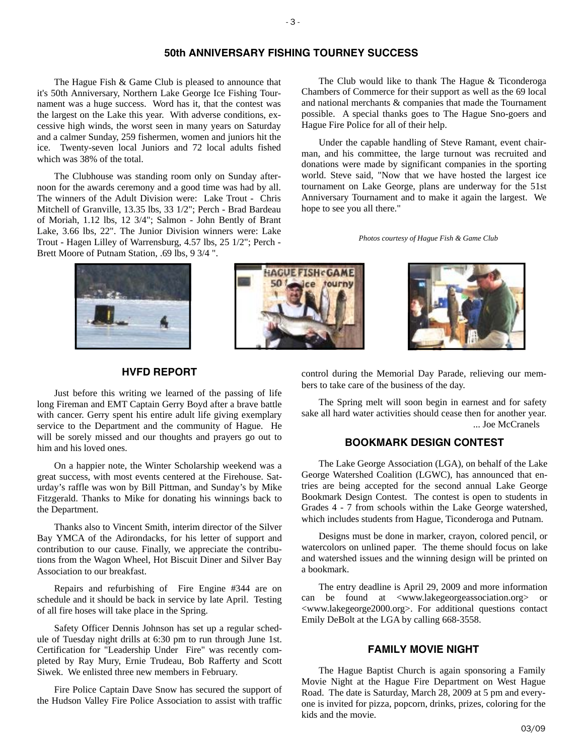# **50th ANNIVERSARY FISHING TOURNEY SUCCESS**

The Hague Fish & Game Club is pleased to announce that it's 50th Anniversary, Northern Lake George Ice Fishing Tournament was a huge success. Word has it, that the contest was the largest on the Lake this year. With adverse conditions, excessive high winds, the worst seen in many years on Saturday and a calmer Sunday, 259 fishermen, women and juniors hit the ice. Twenty-seven local Juniors and 72 local adults fished which was 38% of the total.

The Clubhouse was standing room only on Sunday afternoon for the awards ceremony and a good time was had by all. The winners of the Adult Division were: Lake Trout - Chris Mitchell of Granville, 13.35 lbs, 33 1/2"; Perch - Brad Bardeau of Moriah, 1.12 lbs, 12 3/4"; Salmon - John Bently of Brant Lake, 3.66 lbs, 22". The Junior Division winners were: Lake Trout - Hagen Lilley of Warrensburg, 4.57 lbs, 25 1/2"; Perch - Brett Moore of Putnam Station, .69 lbs, 9 3/4 ".







# **HVFD REPORT**

Just before this writing we learned of the passing of life long Fireman and EMT Captain Gerry Boyd after a brave battle with cancer. Gerry spent his entire adult life giving exemplary service to the Department and the community of Hague. He will be sorely missed and our thoughts and prayers go out to him and his loved ones.

On a happier note, the Winter Scholarship weekend was a great success, with most events centered at the Firehouse. Saturday's raffle was won by Bill Pittman, and Sunday's by Mike Fitzgerald. Thanks to Mike for donating his winnings back to the Department.

Thanks also to Vincent Smith, interim director of the Silver Bay YMCA of the Adirondacks, for his letter of support and contribution to our cause. Finally, we appreciate the contributions from the Wagon Wheel, Hot Biscuit Diner and Silver Bay Association to our breakfast.

Repairs and refurbishing of Fire Engine #344 are on schedule and it should be back in service by late April. Testing of all fire hoses will take place in the Spring.

Safety Officer Dennis Johnson has set up a regular schedule of Tuesday night drills at 6:30 pm to run through June 1st. Certification for "Leadership Under Fire" was recently completed by Ray Mury, Ernie Trudeau, Bob Rafferty and Scott Siwek. We enlisted three new members in February.

Fire Police Captain Dave Snow has secured the support of the Hudson Valley Fire Police Association to assist with traffic

control during the Memorial Day Parade, relieving our members to take care of the business of the day.

The Club would like to thank The Hague & Ticonderoga Chambers of Commerce for their support as well as the 69 local and national merchants & companies that made the Tournament possible. A special thanks goes to The Hague Sno-goers and

Under the capable handling of Steve Ramant, event chairman, and his committee, the large turnout was recruited and donations were made by significant companies in the sporting world. Steve said, "Now that we have hosted the largest ice tournament on Lake George, plans are underway for the 51st Anniversary Tournament and to make it again the largest. We

*Photos courtesy of Hague Fish & Game Club* 

Hague Fire Police for all of their help.

hope to see you all there."

The Spring melt will soon begin in earnest and for safety sake all hard water activities should cease then for another year. ... Joe McCranels

# **BOOKMARK DESIGN CONTEST**

The Lake George Association (LGA), on behalf of the Lake George Watershed Coalition (LGWC), has announced that entries are being accepted for the second annual Lake George Bookmark Design Contest. The contest is open to students in Grades 4 - 7 from schools within the Lake George watershed, which includes students from Hague, Ticonderoga and Putnam.

Designs must be done in marker, crayon, colored pencil, or watercolors on unlined paper. The theme should focus on lake and watershed issues and the winning design will be printed on a bookmark.

The entry deadline is April 29, 2009 and more information can be found at <www.lakegeorgeassociation.org> or <www.lakegeorge2000.org>. For additional questions contact Emily DeBolt at the LGA by calling 668-3558.

# **FAMILY MOVIE NIGHT**

The Hague Baptist Church is again sponsoring a Family Movie Night at the Hague Fire Department on West Hague Road. The date is Saturday, March 28, 2009 at 5 pm and everyone is invited for pizza, popcorn, drinks, prizes, coloring for the kids and the movie.

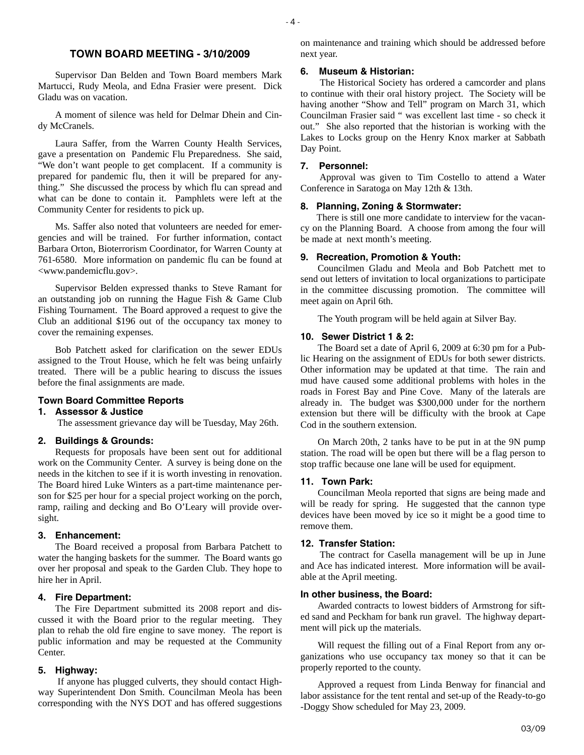# **TOWN BOARD MEETING - 3/10/2009**

Supervisor Dan Belden and Town Board members Mark Martucci, Rudy Meola, and Edna Frasier were present. Dick Gladu was on vacation.

A moment of silence was held for Delmar Dhein and Cindy McCranels.

Laura Saffer, from the Warren County Health Services, gave a presentation on Pandemic Flu Preparedness. She said, "We don't want people to get complacent. If a community is prepared for pandemic flu, then it will be prepared for anything." She discussed the process by which flu can spread and what can be done to contain it. Pamphlets were left at the Community Center for residents to pick up.

Ms. Saffer also noted that volunteers are needed for emergencies and will be trained. For further information, contact Barbara Orton, Bioterrorism Coordinator, for Warren County at 761-6580. More information on pandemic flu can be found at <www.pandemicflu.gov>.

Supervisor Belden expressed thanks to Steve Ramant for an outstanding job on running the Hague Fish & Game Club Fishing Tournament. The Board approved a request to give the Club an additional \$196 out of the occupancy tax money to cover the remaining expenses.

Bob Patchett asked for clarification on the sewer EDUs assigned to the Trout House, which he felt was being unfairly treated. There will be a public hearing to discuss the issues before the final assignments are made.

#### **Town Board Committee Reports**

#### **1. Assessor & Justice**

The assessment grievance day will be Tuesday, May 26th.

### **2. Buildings & Grounds:**

Requests for proposals have been sent out for additional work on the Community Center. A survey is being done on the needs in the kitchen to see if it is worth investing in renovation. The Board hired Luke Winters as a part-time maintenance person for \$25 per hour for a special project working on the porch, ramp, railing and decking and Bo O'Leary will provide oversight.

#### **3. Enhancement:**

The Board received a proposal from Barbara Patchett to water the hanging baskets for the summer. The Board wants go over her proposal and speak to the Garden Club. They hope to hire her in April.

#### **4. Fire Department:**

The Fire Department submitted its 2008 report and discussed it with the Board prior to the regular meeting. They plan to rehab the old fire engine to save money. The report is public information and may be requested at the Community Center.

#### **5. Highway:**

 If anyone has plugged culverts, they should contact Highway Superintendent Don Smith. Councilman Meola has been corresponding with the NYS DOT and has offered suggestions on maintenance and training which should be addressed before next year.

#### **6. Museum & Historian:**

 The Historical Society has ordered a camcorder and plans to continue with their oral history project. The Society will be having another "Show and Tell" program on March 31, which Councilman Frasier said " was excellent last time - so check it out." She also reported that the historian is working with the Lakes to Locks group on the Henry Knox marker at Sabbath Day Point.

#### **7. Personnel:**

 Approval was given to Tim Costello to attend a Water Conference in Saratoga on May 12th & 13th.

#### **8. Planning, Zoning & Stormwater:**

There is still one more candidate to interview for the vacancy on the Planning Board. A choose from among the four will be made at next month's meeting.

#### **9. Recreation, Promotion & Youth:**

Councilmen Gladu and Meola and Bob Patchett met to send out letters of invitation to local organizations to participate in the committee discussing promotion. The committee will meet again on April 6th.

The Youth program will be held again at Silver Bay.

#### **10. Sewer District 1 & 2:**

The Board set a date of April 6, 2009 at 6:30 pm for a Public Hearing on the assignment of EDUs for both sewer districts. Other information may be updated at that time. The rain and mud have caused some additional problems with holes in the roads in Forest Bay and Pine Cove. Many of the laterals are already in. The budget was \$300,000 under for the northern extension but there will be difficulty with the brook at Cape Cod in the southern extension.

On March 20th, 2 tanks have to be put in at the 9N pump station. The road will be open but there will be a flag person to stop traffic because one lane will be used for equipment.

#### **11. Town Park:**

Councilman Meola reported that signs are being made and will be ready for spring. He suggested that the cannon type devices have been moved by ice so it might be a good time to remove them.

#### **12. Transfer Station:**

 The contract for Casella management will be up in June and Ace has indicated interest. More information will be available at the April meeting.

#### **In other business, the Board:**

Awarded contracts to lowest bidders of Armstrong for sifted sand and Peckham for bank run gravel. The highway department will pick up the materials.

Will request the filling out of a Final Report from any organizations who use occupancy tax money so that it can be properly reported to the county.

Approved a request from Linda Benway for financial and labor assistance for the tent rental and set-up of the Ready-to-go -Doggy Show scheduled for May 23, 2009.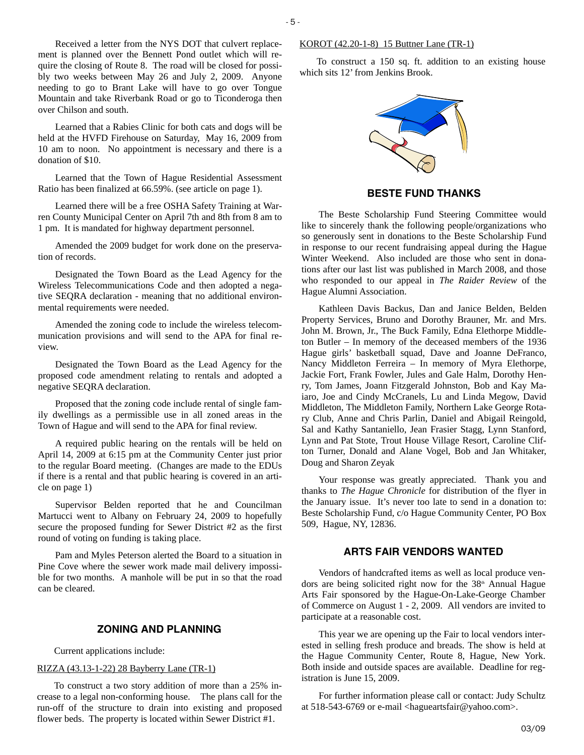Received a letter from the NYS DOT that culvert replacement is planned over the Bennett Pond outlet which will require the closing of Route 8. The road will be closed for possibly two weeks between May 26 and July 2, 2009. Anyone needing to go to Brant Lake will have to go over Tongue Mountain and take Riverbank Road or go to Ticonderoga then over Chilson and south.

Learned that a Rabies Clinic for both cats and dogs will be held at the HVFD Firehouse on Saturday, May 16, 2009 from 10 am to noon. No appointment is necessary and there is a donation of \$10.

Learned that the Town of Hague Residential Assessment Ratio has been finalized at 66.59%. (see article on page 1).

Learned there will be a free OSHA Safety Training at Warren County Municipal Center on April 7th and 8th from 8 am to 1 pm. It is mandated for highway department personnel.

Amended the 2009 budget for work done on the preservation of records.

Designated the Town Board as the Lead Agency for the Wireless Telecommunications Code and then adopted a negative SEQRA declaration - meaning that no additional environmental requirements were needed.

Amended the zoning code to include the wireless telecommunication provisions and will send to the APA for final review.

Designated the Town Board as the Lead Agency for the proposed code amendment relating to rentals and adopted a negative SEQRA declaration.

Proposed that the zoning code include rental of single family dwellings as a permissible use in all zoned areas in the Town of Hague and will send to the APA for final review.

A required public hearing on the rentals will be held on April 14, 2009 at 6:15 pm at the Community Center just prior to the regular Board meeting. (Changes are made to the EDUs if there is a rental and that public hearing is covered in an article on page 1)

Supervisor Belden reported that he and Councilman Martucci went to Albany on February 24, 2009 to hopefully secure the proposed funding for Sewer District #2 as the first round of voting on funding is taking place.

Pam and Myles Peterson alerted the Board to a situation in Pine Cove where the sewer work made mail delivery impossible for two months. A manhole will be put in so that the road can be cleared.

# **ZONING AND PLANNING**

Current applications include:

#### RIZZA (43.13-1-22) 28 Bayberry Lane (TR-1)

To construct a two story addition of more than a 25% increase to a legal non-conforming house. The plans call for the run-off of the structure to drain into existing and proposed flower beds. The property is located within Sewer District #1.

#### KOROT (42.20-1-8) 15 Buttner Lane (TR-1)

To construct a 150 sq. ft. addition to an existing house which sits 12' from Jenkins Brook.



**BESTE FUND THANKS** 

The Beste Scholarship Fund Steering Committee would like to sincerely thank the following people/organizations who so generously sent in donations to the Beste Scholarship Fund in response to our recent fundraising appeal during the Hague Winter Weekend. Also included are those who sent in donations after our last list was published in March 2008, and those who responded to our appeal in *The Raider Review* of the Hague Alumni Association.

Kathleen Davis Backus, Dan and Janice Belden, Belden Property Services, Bruno and Dorothy Brauner, Mr. and Mrs. John M. Brown, Jr., The Buck Family, Edna Elethorpe Middleton Butler – In memory of the deceased members of the 1936 Hague girls' basketball squad, Dave and Joanne DeFranco, Nancy Middleton Ferreira – In memory of Myra Elethorpe, Jackie Fort, Frank Fowler, Jules and Gale Halm, Dorothy Henry, Tom James, Joann Fitzgerald Johnston, Bob and Kay Maiaro, Joe and Cindy McCranels, Lu and Linda Megow, David Middleton, The Middleton Family, Northern Lake George Rotary Club, Anne and Chris Parlin, Daniel and Abigail Reingold, Sal and Kathy Santaniello, Jean Frasier Stagg, Lynn Stanford, Lynn and Pat Stote, Trout House Village Resort, Caroline Clifton Turner, Donald and Alane Vogel, Bob and Jan Whitaker, Doug and Sharon Zeyak

Your response was greatly appreciated. Thank you and thanks to *The Hague Chronicle* for distribution of the flyer in the January issue. It's never too late to send in a donation to: Beste Scholarship Fund, c/o Hague Community Center, PO Box 509, Hague, NY, 12836.

#### **ARTS FAIR VENDORS WANTED**

Vendors of handcrafted items as well as local produce vendors are being solicited right now for the  $38<sup>th</sup>$  Annual Hague Arts Fair sponsored by the Hague-On-Lake-George Chamber of Commerce on August 1 - 2, 2009. All vendors are invited to participate at a reasonable cost.

This year we are opening up the Fair to local vendors interested in selling fresh produce and breads. The show is held at the Hague Community Center, Route 8, Hague, New York. Both inside and outside spaces are available. Deadline for registration is June 15, 2009.

For further information please call or contact: Judy Schultz at 518-543-6769 or e-mail <hagueartsfair@yahoo.com>.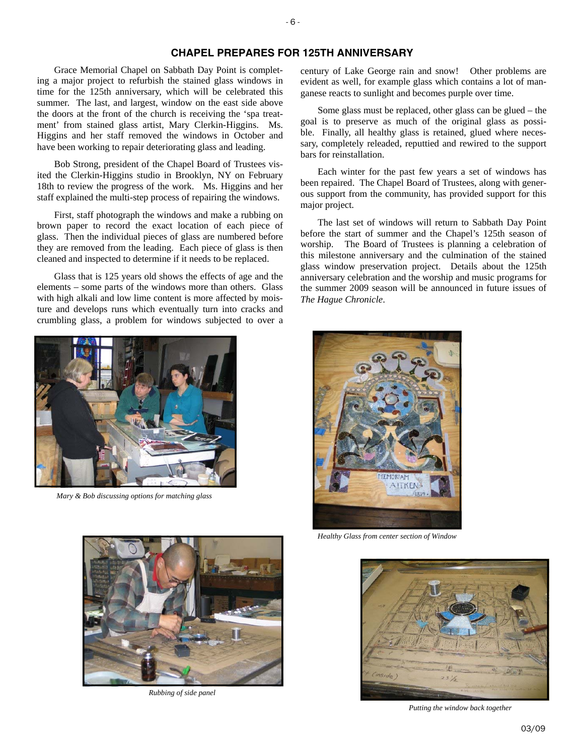# **CHAPEL PREPARES FOR 125TH ANNIVERSARY**

Grace Memorial Chapel on Sabbath Day Point is completing a major project to refurbish the stained glass windows in time for the 125th anniversary, which will be celebrated this summer. The last, and largest, window on the east side above the doors at the front of the church is receiving the 'spa treatment' from stained glass artist, Mary Clerkin-Higgins. Ms. Higgins and her staff removed the windows in October and have been working to repair deteriorating glass and leading.

Bob Strong, president of the Chapel Board of Trustees visited the Clerkin-Higgins studio in Brooklyn, NY on February 18th to review the progress of the work. Ms. Higgins and her staff explained the multi-step process of repairing the windows.

First, staff photograph the windows and make a rubbing on brown paper to record the exact location of each piece of glass. Then the individual pieces of glass are numbered before they are removed from the leading. Each piece of glass is then cleaned and inspected to determine if it needs to be replaced.

Glass that is 125 years old shows the effects of age and the elements – some parts of the windows more than others. Glass with high alkali and low lime content is more affected by moisture and develops runs which eventually turn into cracks and crumbling glass, a problem for windows subjected to over a



*Mary & Bob discussing options for matching glass* 

century of Lake George rain and snow! Other problems are evident as well, for example glass which contains a lot of manganese reacts to sunlight and becomes purple over time.

Some glass must be replaced, other glass can be glued – the goal is to preserve as much of the original glass as possible. Finally, all healthy glass is retained, glued where necessary, completely releaded, reputtied and rewired to the support bars for reinstallation.

Each winter for the past few years a set of windows has been repaired. The Chapel Board of Trustees, along with generous support from the community, has provided support for this major project.

The last set of windows will return to Sabbath Day Point before the start of summer and the Chapel's 125th season of worship. The Board of Trustees is planning a celebration of this milestone anniversary and the culmination of the stained glass window preservation project. Details about the 125th anniversary celebration and the worship and music programs for the summer 2009 season will be announced in future issues of *The Hague Chronicle*.



*Healthy Glass from center section of Window* 



*Rubbing of side panel* 



*Putting the window back together*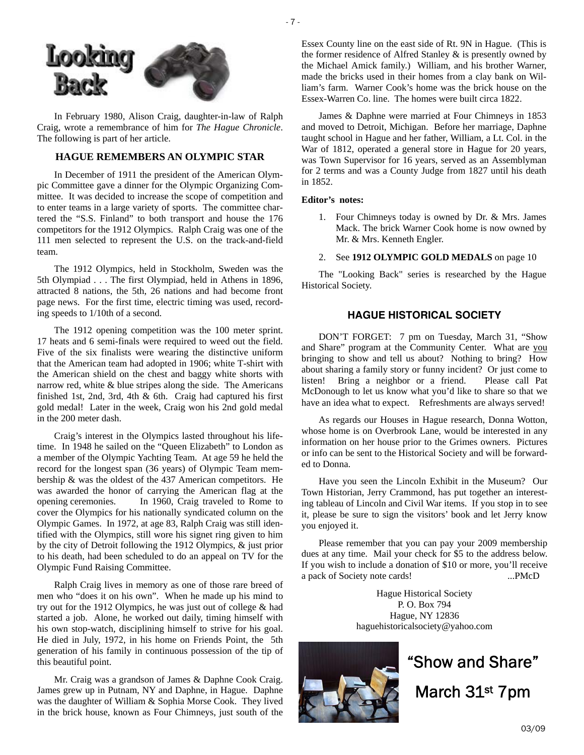

In February 1980, Alison Craig, daughter-in-law of Ralph Craig, wrote a remembrance of him for *The Hague Chronicle*. The following is part of her article.

# **HAGUE REMEMBERS AN OLYMPIC STAR**

In December of 1911 the president of the American Olympic Committee gave a dinner for the Olympic Organizing Committee. It was decided to increase the scope of competition and to enter teams in a large variety of sports. The committee chartered the "S.S. Finland" to both transport and house the 176 competitors for the 1912 Olympics. Ralph Craig was one of the 111 men selected to represent the U.S. on the track-and-field team.

The 1912 Olympics, held in Stockholm, Sweden was the 5th Olympiad . . . The first Olympiad, held in Athens in 1896, attracted 8 nations, the 5th, 26 nations and had become front page news. For the first time, electric timing was used, recording speeds to 1/10th of a second.

The 1912 opening competition was the 100 meter sprint. 17 heats and 6 semi-finals were required to weed out the field. Five of the six finalists were wearing the distinctive uniform that the American team had adopted in 1906; white T-shirt with the American shield on the chest and baggy white shorts with narrow red, white & blue stripes along the side. The Americans finished 1st, 2nd, 3rd, 4th & 6th. Craig had captured his first gold medal! Later in the week, Craig won his 2nd gold medal in the 200 meter dash.

Craig's interest in the Olympics lasted throughout his lifetime. In 1948 he sailed on the "Queen Elizabeth" to London as a member of the Olympic Yachting Team. At age 59 he held the record for the longest span (36 years) of Olympic Team membership & was the oldest of the 437 American competitors. He was awarded the honor of carrying the American flag at the opening ceremonies. In 1960, Craig traveled to Rome to cover the Olympics for his nationally syndicated column on the Olympic Games. In 1972, at age 83, Ralph Craig was still identified with the Olympics, still wore his signet ring given to him by the city of Detroit following the 1912 Olympics, & just prior to his death, had been scheduled to do an appeal on TV for the Olympic Fund Raising Committee.

Ralph Craig lives in memory as one of those rare breed of men who "does it on his own". When he made up his mind to try out for the 1912 Olympics, he was just out of college & had started a job. Alone, he worked out daily, timing himself with his own stop-watch, disciplining himself to strive for his goal. He died in July, 1972, in his home on Friends Point, the 5th generation of his family in continuous possession of the tip of this beautiful point.

Mr. Craig was a grandson of James & Daphne Cook Craig. James grew up in Putnam, NY and Daphne, in Hague. Daphne was the daughter of William & Sophia Morse Cook. They lived in the brick house, known as Four Chimneys, just south of the Essex County line on the east side of Rt. 9N in Hague. (This is the former residence of Alfred Stanley & is presently owned by the Michael Amick family.) William, and his brother Warner, made the bricks used in their homes from a clay bank on William's farm. Warner Cook's home was the brick house on the Essex-Warren Co. line. The homes were built circa 1822.

James & Daphne were married at Four Chimneys in 1853 and moved to Detroit, Michigan. Before her marriage, Daphne taught school in Hague and her father, William, a Lt. Col. in the War of 1812, operated a general store in Hague for 20 years, was Town Supervisor for 16 years, served as an Assemblyman for 2 terms and was a County Judge from 1827 until his death in 1852.

#### **Editor's notes:**

- 1. Four Chimneys today is owned by Dr. & Mrs. James Mack. The brick Warner Cook home is now owned by Mr. & Mrs. Kenneth Engler.
- 2. See **1912 OLYMPIC GOLD MEDALS** on page 10

The "Looking Back" series is researched by the Hague Historical Society.

# **HAGUE HISTORICAL SOCIETY**

DON'T FORGET: 7 pm on Tuesday, March 31, "Show and Share" program at the Community Center. What are you bringing to show and tell us about? Nothing to bring? How about sharing a family story or funny incident? Or just come to listen! Bring a neighbor or a friend. Please call Pat McDonough to let us know what you'd like to share so that we have an idea what to expect. Refreshments are always served!

As regards our Houses in Hague research, Donna Wotton, whose home is on Overbrook Lane, would be interested in any information on her house prior to the Grimes owners. Pictures or info can be sent to the Historical Society and will be forwarded to Donna.

Have you seen the Lincoln Exhibit in the Museum? Our Town Historian, Jerry Crammond, has put together an interesting tableau of Lincoln and Civil War items. If you stop in to see it, please be sure to sign the visitors' book and let Jerry know you enjoyed it.

Please remember that you can pay your 2009 membership dues at any time. Mail your check for \$5 to the address below. If you wish to include a donation of \$10 or more, you'll receive a pack of Society note cards! ...PMcD

> Hague Historical Society P. O. Box 794 Hague, NY 12836 haguehistoricalsociety@yahoo.com



# "Show and Share" March 31st 7pm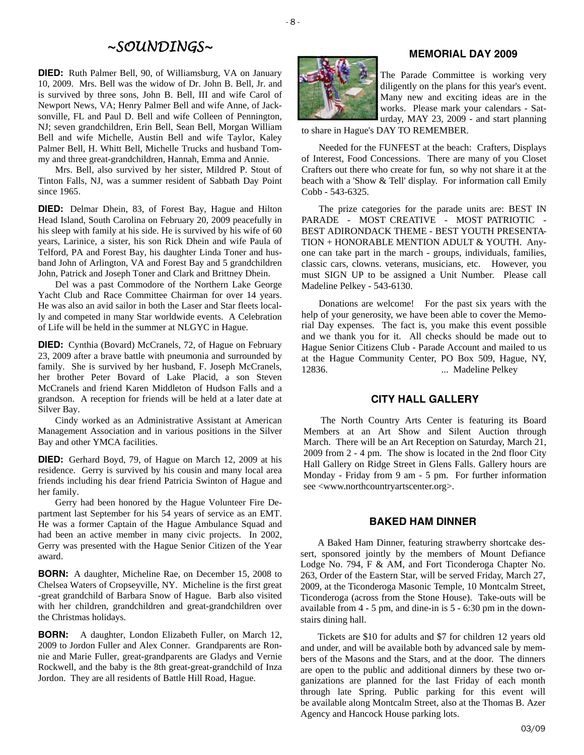# *~SOUNDINGS~*

**DIED:** Ruth Palmer Bell, 90, of Williamsburg, VA on January 10, 2009. Mrs. Bell was the widow of Dr. John B. Bell, Jr. and is survived by three sons, John B. Bell, III and wife Carol of Newport News, VA; Henry Palmer Bell and wife Anne, of Jacksonville, FL and Paul D. Bell and wife Colleen of Pennington, NJ; seven grandchildren, Erin Bell, Sean Bell, Morgan William Bell and wife Michelle, Austin Bell and wife Taylor, Kaley Palmer Bell, H. Whitt Bell, Michelle Trucks and husband Tommy and three great-grandchildren, Hannah, Emma and Annie.

Mrs. Bell, also survived by her sister, Mildred P. Stout of Tinton Falls, NJ, was a summer resident of Sabbath Day Point since 1965.

**DIED:** Delmar Dhein, 83, of Forest Bay, Hague and Hilton Head Island, South Carolina on February 20, 2009 peacefully in his sleep with family at his side. He is survived by his wife of 60 years, Larinice, a sister, his son Rick Dhein and wife Paula of Telford, PA and Forest Bay, his daughter Linda Toner and husband John of Arlington, VA and Forest Bay and 5 grandchildren John, Patrick and Joseph Toner and Clark and Brittney Dhein.

Del was a past Commodore of the Northern Lake George Yacht Club and Race Committee Chairman for over 14 years. He was also an avid sailor in both the Laser and Star fleets locally and competed in many Star worldwide events. A Celebration of Life will be held in the summer at NLGYC in Hague.

**DIED:** Cynthia (Bovard) McCranels, 72, of Hague on February 23, 2009 after a brave battle with pneumonia and surrounded by family. She is survived by her husband, F. Joseph McCranels, her brother Peter Bovard of Lake Placid, a son Steven McCranels and friend Karen Middleton of Hudson Falls and a grandson. A reception for friends will be held at a later date at Silver Bay.

Cindy worked as an Administrative Assistant at American Management Association and in various positions in the Silver Bay and other YMCA facilities.

**DIED:** Gerhard Boyd, 79, of Hague on March 12, 2009 at his residence. Gerry is survived by his cousin and many local area friends including his dear friend Patricia Swinton of Hague and her family.

Gerry had been honored by the Hague Volunteer Fire Department last September for his 54 years of service as an EMT. He was a former Captain of the Hague Ambulance Squad and had been an active member in many civic projects. In 2002, Gerry was presented with the Hague Senior Citizen of the Year award.

**BORN:** A daughter, Micheline Rae, on December 15, 2008 to Chelsea Waters of Cropseyville, NY. Micheline is the first great -great grandchild of Barbara Snow of Hague. Barb also visited with her children, grandchildren and great-grandchildren over the Christmas holidays.

**BORN:** A daughter, London Elizabeth Fuller, on March 12, 2009 to Jordon Fuller and Alex Conner. Grandparents are Ronnie and Marie Fuller, great-grandparents are Gladys and Vernie Rockwell, and the baby is the 8th great-great-grandchild of Inza Jordon. They are all residents of Battle Hill Road, Hague.

# **MEMORIAL DAY 2009**



The Parade Committee is working very diligently on the plans for this year's event. Many new and exciting ideas are in the works. Please mark your calendars - Saturday, MAY 23, 2009 - and start planning

to share in Hague's DAY TO REMEMBER.

Needed for the FUNFEST at the beach: Crafters, Displays of Interest, Food Concessions. There are many of you Closet Crafters out there who create for fun, so why not share it at the beach with a 'Show & Tell' display. For information call Emily Cobb - 543-6325.

The prize categories for the parade units are: BEST IN PARADE - MOST CREATIVE - MOST PATRIOTIC - BEST ADIRONDACK THEME - BEST YOUTH PRESENTA-TION + HONORABLE MENTION ADULT & YOUTH. Anyone can take part in the march - groups, individuals, families, classic cars, clowns. veterans, musicians, etc. However, you must SIGN UP to be assigned a Unit Number. Please call Madeline Pelkey - 543-6130.

Donations are welcome! For the past six years with the help of your generosity, we have been able to cover the Memorial Day expenses. The fact is, you make this event possible and we thank you for it. All checks should be made out to Hague Senior Citizens Club - Parade Account and mailed to us at the Hague Community Center, PO Box 509, Hague, NY, 12836. ... Madeline Pelkey

# **CITY HALL GALLERY**

The North Country Arts Center is featuring its Board Members at an Art Show and Silent Auction through March. There will be an Art Reception on Saturday, March 21, 2009 from 2 - 4 pm. The show is located in the 2nd floor City Hall Gallery on Ridge Street in Glens Falls. Gallery hours are Monday - Friday from 9 am - 5 pm. For further information see <www.northcountryartscenter.org>.

#### **BAKED HAM DINNER**

A Baked Ham Dinner, featuring strawberry shortcake dessert, sponsored jointly by the members of Mount Defiance Lodge No. 794, F & AM, and Fort Ticonderoga Chapter No. 263, Order of the Eastern Star, will be served Friday, March 27, 2009, at the Ticonderoga Masonic Temple, 10 Montcalm Street, Ticonderoga (across from the Stone House). Take-outs will be available from 4 - 5 pm, and dine-in is 5 - 6:30 pm in the downstairs dining hall.

Tickets are \$10 for adults and \$7 for children 12 years old and under, and will be available both by advanced sale by members of the Masons and the Stars, and at the door. The dinners are open to the public and additional dinners by these two organizations are planned for the last Friday of each month through late Spring. Public parking for this event will be available along Montcalm Street, also at the Thomas B. Azer Agency and Hancock House parking lots.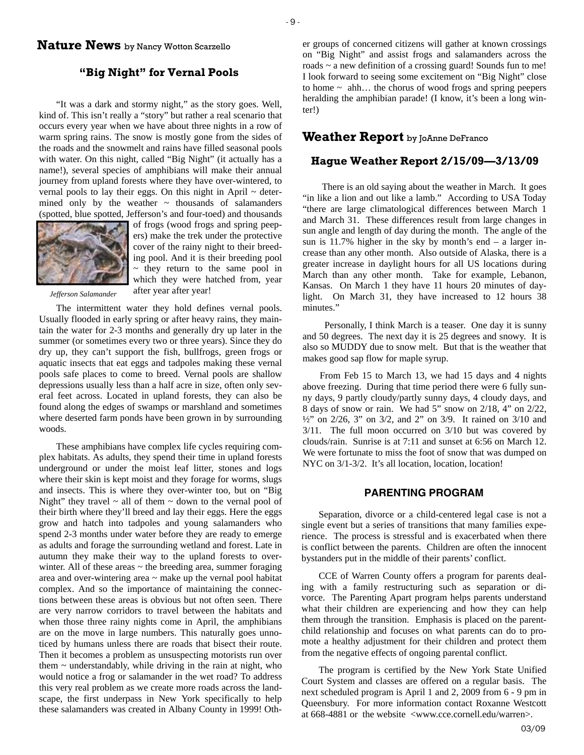# **Nature News** by Nancy Wotton Scarzello

# **"Big Night" for Vernal Pools**

"It was a dark and stormy night," as the story goes. Well, kind of. This isn't really a "story" but rather a real scenario that occurs every year when we have about three nights in a row of warm spring rains. The snow is mostly gone from the sides of the roads and the snowmelt and rains have filled seasonal pools with water. On this night, called "Big Night" (it actually has a name!), several species of amphibians will make their annual journey from upland forests where they have over-wintered, to vernal pools to lay their eggs. On this night in April  $\sim$  determined only by the weather  $\sim$  thousands of salamanders (spotted, blue spotted, Jefferson's and four-toed) and thousands



of frogs (wood frogs and spring peepers) make the trek under the protective cover of the rainy night to their breeding pool. And it is their breeding pool  $\sim$  they return to the same pool in which they were hatched from, year after year after year!

*Jefferson Salamander* 

The intermittent water they hold defines vernal pools. Usually flooded in early spring or after heavy rains, they maintain the water for 2-3 months and generally dry up later in the summer (or sometimes every two or three years). Since they do dry up, they can't support the fish, bullfrogs, green frogs or aquatic insects that eat eggs and tadpoles making these vernal pools safe places to come to breed. Vernal pools are shallow depressions usually less than a half acre in size, often only several feet across. Located in upland forests, they can also be found along the edges of swamps or marshland and sometimes where deserted farm ponds have been grown in by surrounding woods.

These amphibians have complex life cycles requiring complex habitats. As adults, they spend their time in upland forests underground or under the moist leaf litter, stones and logs where their skin is kept moist and they forage for worms, slugs and insects. This is where they over-winter too, but on "Big Night" they travel  $\sim$  all of them  $\sim$  down to the vernal pool of their birth where they'll breed and lay their eggs. Here the eggs grow and hatch into tadpoles and young salamanders who spend 2-3 months under water before they are ready to emerge as adults and forage the surrounding wetland and forest. Late in autumn they make their way to the upland forests to overwinter. All of these areas  $\sim$  the breeding area, summer foraging area and over-wintering area  $\sim$  make up the vernal pool habitat complex. And so the importance of maintaining the connections between these areas is obvious but not often seen. There are very narrow corridors to travel between the habitats and when those three rainy nights come in April, the amphibians are on the move in large numbers. This naturally goes unnoticed by humans unless there are roads that bisect their route. Then it becomes a problem as unsuspecting motorists run over them  $\sim$  understandably, while driving in the rain at night, who would notice a frog or salamander in the wet road? To address this very real problem as we create more roads across the landscape, the first underpass in New York specifically to help these salamanders was created in Albany County in 1999! Oth-

er groups of concerned citizens will gather at known crossings on "Big Night" and assist frogs and salamanders across the roads ~ a new definition of a crossing guard! Sounds fun to me! I look forward to seeing some excitement on "Big Night" close to home  $\sim$  ahh... the chorus of wood frogs and spring peepers heralding the amphibian parade! (I know, it's been a long winter!)

# **Weather Report** by JoAnne DeFranco

# **Hague Weather Report 2/15/09—3/13/09**

 There is an old saying about the weather in March. It goes "in like a lion and out like a lamb." According to USA Today "there are large climatological differences between March 1 and March 31. These differences result from large changes in sun angle and length of day during the month. The angle of the sun is 11.7% higher in the sky by month's end – a larger increase than any other month. Also outside of Alaska, there is a greater increase in daylight hours for all US locations during March than any other month. Take for example, Lebanon, Kansas. On March 1 they have 11 hours 20 minutes of daylight. On March 31, they have increased to 12 hours 38 minutes."

 Personally, I think March is a teaser. One day it is sunny and 50 degrees. The next day it is 25 degrees and snowy. It is also so MUDDY due to snow melt. But that is the weather that makes good sap flow for maple syrup.

From Feb 15 to March 13, we had 15 days and 4 nights above freezing. During that time period there were 6 fully sunny days, 9 partly cloudy/partly sunny days, 4 cloudy days, and 8 days of snow or rain. We had 5" snow on 2/18, 4" on 2/22, ½" on 2/26, 3" on 3/2, and 2" on 3/9. It rained on 3/10 and 3/11. The full moon occurred on 3/10 but was covered by clouds/rain. Sunrise is at 7:11 and sunset at 6:56 on March 12. We were fortunate to miss the foot of snow that was dumped on NYC on  $3/1-3/2$ . It's all location, location, location!

#### **PARENTING PROGRAM**

Separation, divorce or a child-centered legal case is not a single event but a series of transitions that many families experience. The process is stressful and is exacerbated when there is conflict between the parents. Children are often the innocent bystanders put in the middle of their parents' conflict.

CCE of Warren County offers a program for parents dealing with a family restructuring such as separation or divorce. The Parenting Apart program helps parents understand what their children are experiencing and how they can help them through the transition. Emphasis is placed on the parentchild relationship and focuses on what parents can do to promote a healthy adjustment for their children and protect them from the negative effects of ongoing parental conflict.

The program is certified by the New York State Unified Court System and classes are offered on a regular basis. The next scheduled program is April 1 and 2, 2009 from 6 - 9 pm in Queensbury. For more information contact Roxanne Westcott at 668-4881 or the website <www.cce.cornell.edu/warren>.